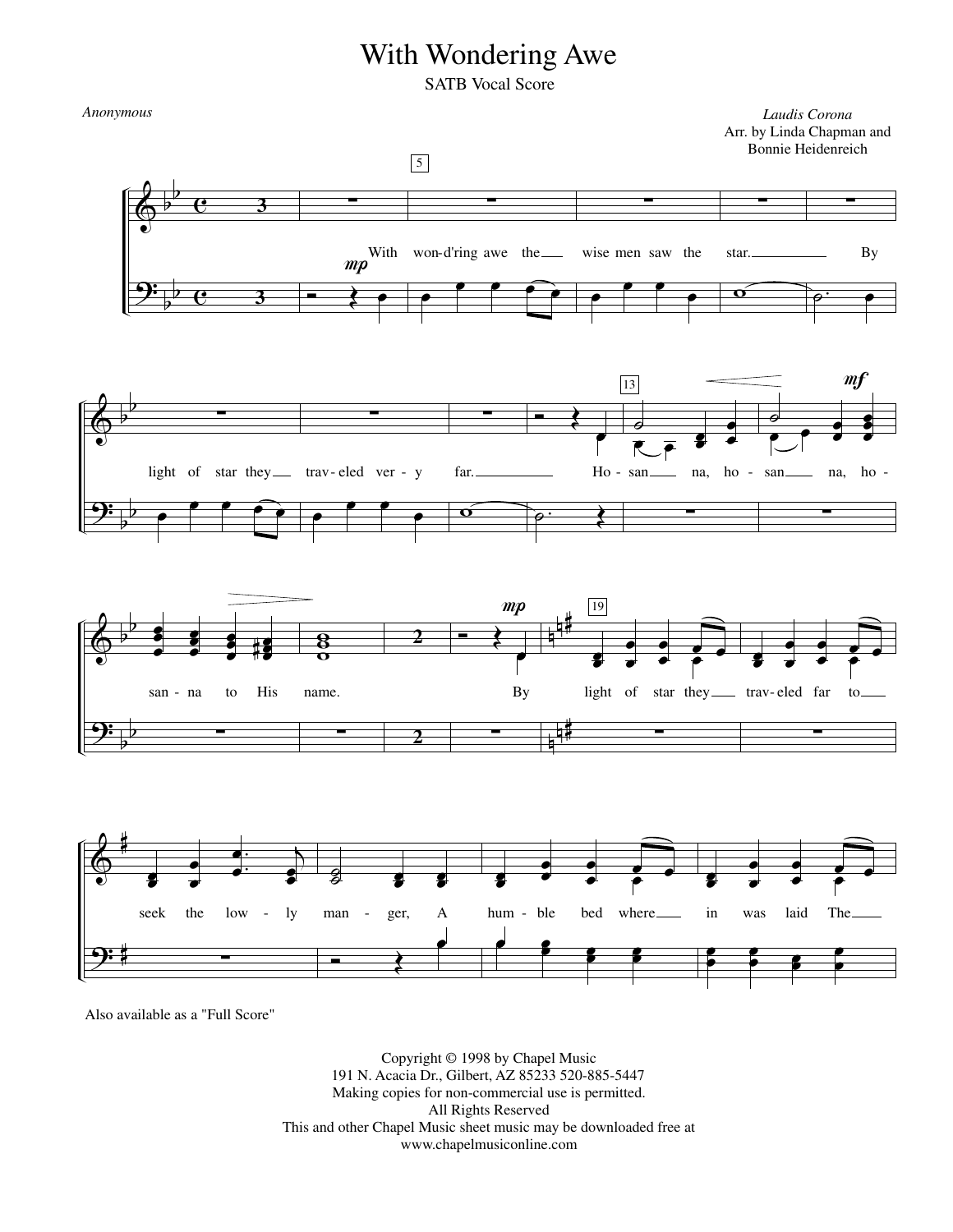## With Wondering Awe

SATB Vocal Score

 $\pmb{\phi}$ <u>9:</u> b b b b  $\overline{\mathbf{e}}$  $\overline{\mathbf{e}}$ **3** ∑ Ó **<sup>3</sup>**  $\overline{\blacklozenge}$ mp<sup>With</sup> œ ∑ 5 œ  $\bullet$   $\bullet$   $\bullet$   $\bullet$ won-d'ring awe the ∑ œ  $\overline{\mathbf{e}}$ œ wise men saw the ∑  $\mathbf{o}$ star. ∑  $\overline{\rho}$ . By  $\pmb{\phi}$ <u>9:</u> b b b b ∑ œ  $\bullet$   $\bullet$   $\bullet$   $\bullet$ light of star they — trav-eled ver - y ∑ œ œ œ œ ∑  $\overline{\mathbf{o}}$ far.  $\overline{\bullet}$ œ Ho -  $\rho$ . 13  $\overline{\bullet}$  $\overline{\epsilon}$   $\overline{\epsilon}$   $\overline{\epsilon}$ **e** œ san na, ho -∑  $\overline{a}$  $\overset{\circ}{\bullet}$   $\overset{\circ}{\bullet}$  $m f$ œ œ ě<br>O œ œ san na, ho-∑  $\bm{\phi}$ <u>9:</u> b b b b n n # n n # œ œ œ ě<br>e  $\overline{\bullet}$ œ ĕ<br>Ö œ œ œ œ œ# san - na to His ∑ ទ<br>o  $\frac{1}{8}$ name. ∑ Ó **<sup>2</sup>**  $\overline{\blacklozenge}$  $mp$ œ By **2** ∑ 19 œ œ œ œ œ œ e<br>P e<br>• light of star they \_\_\_ trav-eled far to ∑ œ œ œ œ œ œ e<br>P œ œ ∑  $\pmb{\phi}$ 9: # # œ œ œ œ .  $\bullet$ :  $\bullet$   $\overline{\bullet}$ œ œ seek the low - ly ∑  $\overline{g}$  $_3^{\square}$ œ œ œ œ man - ger, A  $\overline{\cdot}$ œ œ **e** œ œ œ e<br>P 。<br>● ● hum - ble bed where e e  $\frac{2}{3}$ œ e<br>E œ **g** œ œ œ œ œ œ œ œ in was laid The œ œ œ  $\cdot$   $\cdot$ œ œ œ *Laudis Corona* Arr. by Linda Chapman and Bonnie Heidenreich *Anonymous*

Also available as a "Full Score"

Copyright © 1998 by Chapel Music 191 N. Acacia Dr., Gilbert, AZ 85233 520-885-5447 Making copies for non-commercial use is permitted. All Rights Reserved This and other Chapel Music sheet music may be downloaded free at www.chapelmusiconline.com